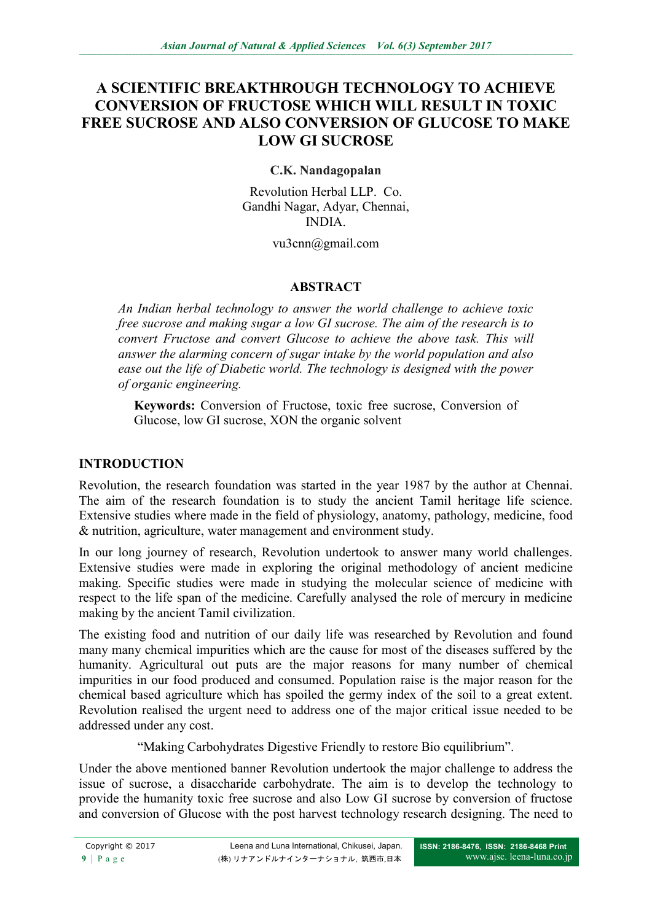## **A SCIENTIFIC BREAKTHROUGH TECHNOLOGY TO ACHIEVE CONVERSION OF FRUCTOSE WHICH WILL RESULT IN TOXIC FREE SUCROSE AND ALSO CONVERSION OF GLUCOSE TO MAKE LOW GI SUCROSE**

## **C.K. Nandagopalan**

Revolution Herbal LLP. Co. Gandhi Nagar, Adyar, Chennai, INDIA.

### vu3cnn@gmail.com

## **ABSTRACT**

*An Indian herbal technology to answer the world challenge to achieve toxic free sucrose and making sugar a low GI sucrose. The aim of the research is to convert Fructose and convert Glucose to achieve the above task. This will answer the alarming concern of sugar intake by the world population and also ease out the life of Diabetic world. The technology is designed with the power of organic engineering.*

**Keywords:** Conversion of Fructose, toxic free sucrose, Conversion of Glucose, low GI sucrose, XON the organic solvent

## **INTRODUCTION**

Revolution, the research foundation was started in the year 1987 by the author at Chennai. The aim of the research foundation is to study the ancient Tamil heritage life science. Extensive studies where made in the field of physiology, anatomy, pathology, medicine, food & nutrition, agriculture, water management and environment study.

In our long journey of research, Revolution undertook to answer many world challenges. Extensive studies were made in exploring the original methodology of ancient medicine making. Specific studies were made in studying the molecular science of medicine with respect to the life span of the medicine. Carefully analysed the role of mercury in medicine making by the ancient Tamil civilization.

The existing food and nutrition of our daily life was researched by Revolution and found many many chemical impurities which are the cause for most of the diseases suffered by the humanity. Agricultural out puts are the major reasons for many number of chemical impurities in our food produced and consumed. Population raise is the major reason for the chemical based agriculture which has spoiled the germy index of the soil to a great extent. Revolution realised the urgent need to address one of the major critical issue needed to be addressed under any cost.

"Making Carbohydrates Digestive Friendly to restore Bio equilibrium".

Under the above mentioned banner Revolution undertook the major challenge to address the issue of sucrose, a disaccharide carbohydrate. The aim is to develop the technology to provide the humanity toxic free sucrose and also Low GI sucrose by conversion of fructose and conversion of Glucose with the post harvest technology research designing. The need to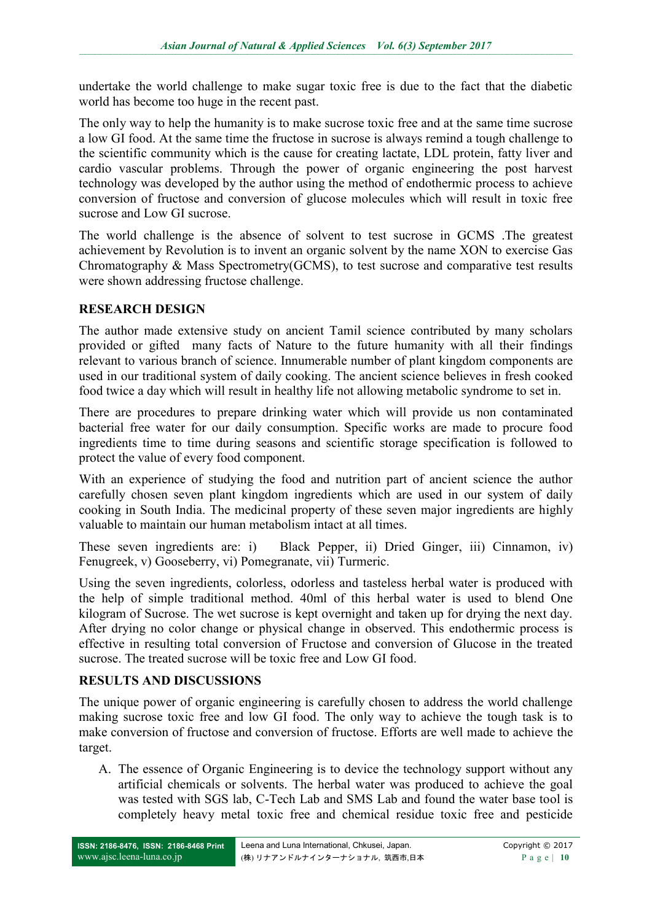undertake the world challenge to make sugar toxic free is due to the fact that the diabetic world has become too huge in the recent past.

The only way to help the humanity is to make sucrose toxic free and at the same time sucrose a low GI food. At the same time the fructose in sucrose is always remind a tough challenge to the scientific community which is the cause for creating lactate, LDL protein, fatty liver and cardio vascular problems. Through the power of organic engineering the post harvest technology was developed by the author using the method of endothermic process to achieve conversion of fructose and conversion of glucose molecules which will result in toxic free sucrose and Low GI sucrose.

The world challenge is the absence of solvent to test sucrose in GCMS .The greatest achievement by Revolution is to invent an organic solvent by the name XON to exercise Gas Chromatography & Mass Spectrometry(GCMS), to test sucrose and comparative test results were shown addressing fructose challenge.

## **RESEARCH DESIGN**

The author made extensive study on ancient Tamil science contributed by many scholars provided or gifted many facts of Nature to the future humanity with all their findings relevant to various branch of science. Innumerable number of plant kingdom components are used in our traditional system of daily cooking. The ancient science believes in fresh cooked food twice a day which will result in healthy life not allowing metabolic syndrome to set in.

There are procedures to prepare drinking water which will provide us non contaminated bacterial free water for our daily consumption. Specific works are made to procure food ingredients time to time during seasons and scientific storage specification is followed to protect the value of every food component.

With an experience of studying the food and nutrition part of ancient science the author carefully chosen seven plant kingdom ingredients which are used in our system of daily cooking in South India. The medicinal property of these seven major ingredients are highly valuable to maintain our human metabolism intact at all times.

These seven ingredients are: i) Black Pepper, ii) Dried Ginger, iii) Cinnamon, iv) Fenugreek, v) Gooseberry, vi) Pomegranate, vii) Turmeric.

Using the seven ingredients, colorless, odorless and tasteless herbal water is produced with the help of simple traditional method. 40ml of this herbal water is used to blend One kilogram of Sucrose. The wet sucrose is kept overnight and taken up for drying the next day. After drying no color change or physical change in observed. This endothermic process is effective in resulting total conversion of Fructose and conversion of Glucose in the treated sucrose. The treated sucrose will be toxic free and Low GI food.

## **RESULTS AND DISCUSSIONS**

The unique power of organic engineering is carefully chosen to address the world challenge making sucrose toxic free and low GI food. The only way to achieve the tough task is to make conversion of fructose and conversion of fructose. Efforts are well made to achieve the target.

A. The essence of Organic Engineering is to device the technology support without any artificial chemicals or solvents. The herbal water was produced to achieve the goal was tested with SGS lab, C-Tech Lab and SMS Lab and found the water base tool is completely heavy metal toxic free and chemical residue toxic free and pesticide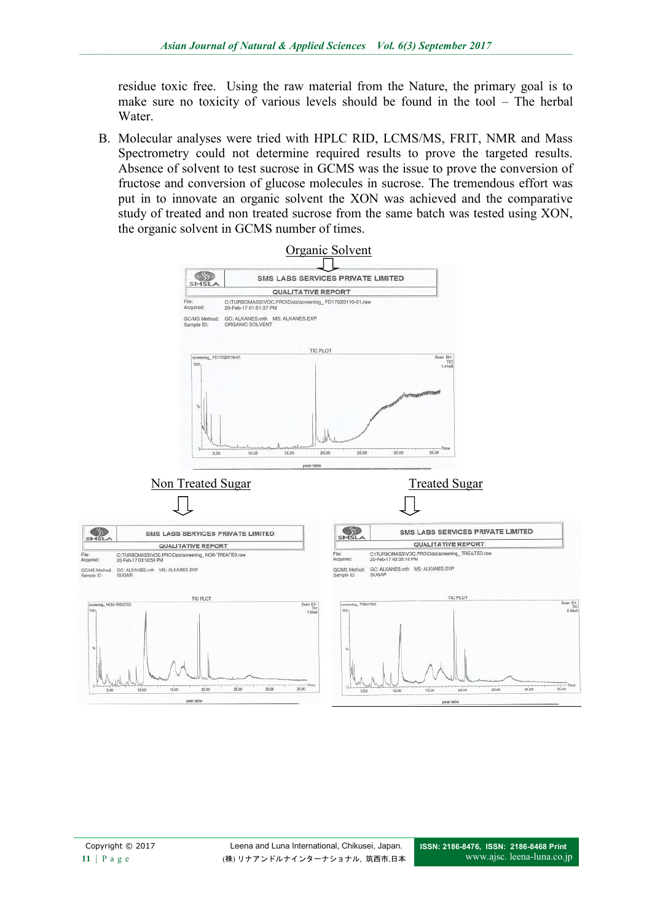residue toxic free. Using the raw material from the Nature, the primary goal is to make sure no toxicity of various levels should be found in the tool – The herbal Water

B. Molecular analyses were tried with HPLC RID, LCMS/MS, FRIT, NMR and Mass Spectrometry could not determine required results to prove the targeted results. Absence of solvent to test sucrose in GCMS was the issue to prove the conversion of fructose and conversion of glucose molecules in sucrose. The tremendous effort was put in to innovate an organic solvent the XON was achieved and the comparative study of treated and non treated sucrose from the same batch was tested using XON, the organic solvent in GCMS number of times.

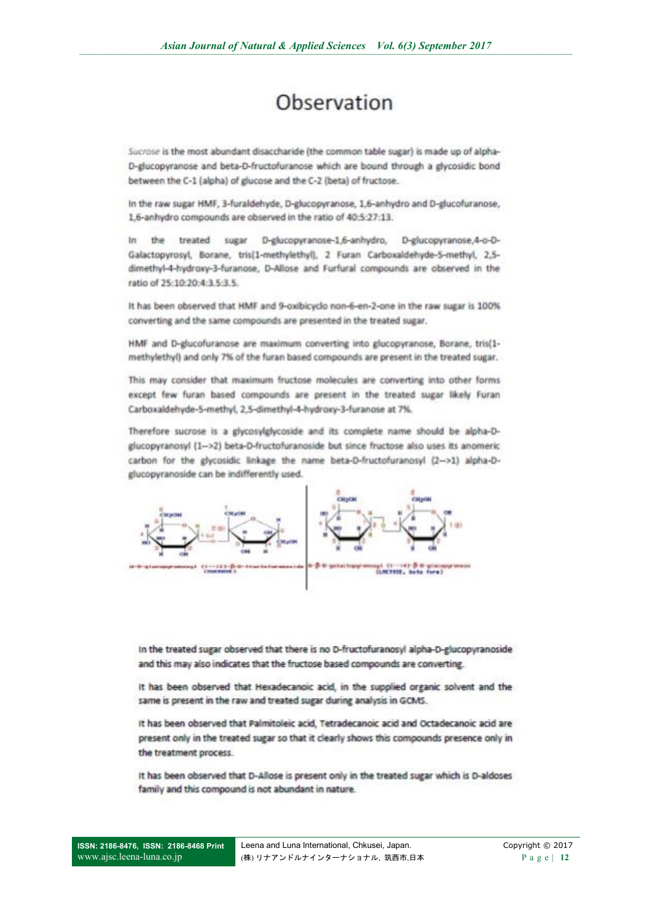# Observation

Sucrose is the most abundant disaccharide (the common table sugar) is made up of alpha-D-glucopyranose and beta-D-fructofuranose which are bound through a glycosidic bond between the C-1 (alpha) of glucose and the C-2 (beta) of fructose.

In the raw sugar HMF, 3-furaldehyde, D-glucopyranose, 1,6-anhydro and D-glucofuranose, 1,6-anhydro compounds are observed in the ratio of 40:5:27:13.

In the treated sugar D-glucopyranose-1,6-anhydro, D-glucopyranose,4-o-D-Galactopyrosyl, Borane, tris(1-methylethyl), 2 Furan Carboxaldehyde-5-methyl, 2,5dimethyl-4-hydroxy-3-furanose, D-Allose and Furfural compounds are observed in the ratio of 25:10:20:4:3.5:3.5.

It has been observed that HMF and 9-oxibicyclo non-6-en-2-one in the raw sugar is 100% converting and the same compounds are presented in the treated sugar.

HMF and D-glucofuranose are maximum converting into glucopyranose, Borane, tris(1methylethyl) and only 7% of the furan based compounds are present in the treated sugar.

This may consider that maximum fructose molecules are converting into other forms except few furan based compounds are present in the treated sugar likely Furan Carboxaldehyde-5-methyl, 2,5-dimethyl-4-hydroxy-3-furanose at 7%.

Therefore sucrose is a glycosylglycoside and its complete name should be alpha-Dglucopyranosyl (1-->2) beta-D-fructofuranoside but since fructose also uses its anomeric carbon for the glycosidic linkage the name beta-D-fructofuranosyl (2-->1) alpha-Dglucopyranoside can be indifferently used.



In the treated sugar observed that there is no D-fructofuranosyl alpha-D-glucopyranoside and this may also indicates that the fructose based compounds are converting.

It has been observed that Hexadecanoic acid, in the supplied organic solvent and the same is present in the raw and treated sugar during analysis in GCMS.

It has been observed that Palmitoleic acid, Tetradecanoic acid and Octadecanoic acid are present only in the treated sugar so that it clearly shows this compounds presence only in the treatment process.

It has been observed that D-Allose is present only in the treated sugar which is D-aldoses family and this compound is not abundant in nature.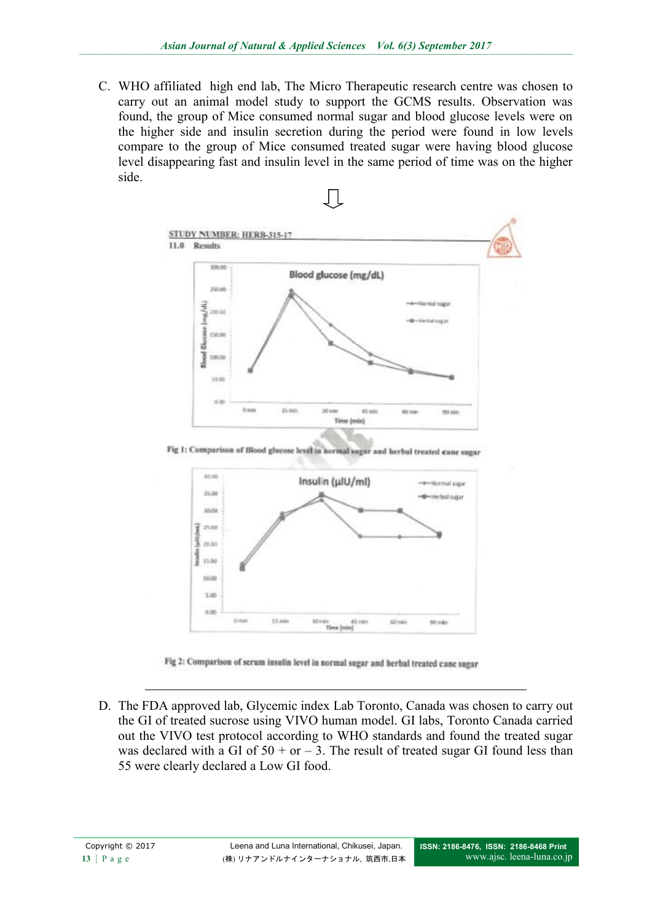C. WHO affiliated high end lab, The Micro Therapeutic research centre was chosen to carry out an animal model study to support the GCMS results. Observation was found, the group of Mice consumed normal sugar and blood glucose levels were on the higher side and insulin secretion during the period were found in low levels compare to the group of Mice consumed treated sugar were having blood glucose level disappearing fast and insulin level in the same period of time was on the higher side.



Fig 1: Comparison of Blood glucose level in normal sugar and herbal treated cane sugar



Fig 2: Comparison of serum insulin level in normal sugar and herbal treated cane sugar

D. The FDA approved lab, Glycemic index Lab Toronto, Canada was chosen to carry out the GI of treated sucrose using VIVO human model. GI labs, Toronto Canada carried out the VIVO test protocol according to WHO standards and found the treated sugar was declared with a GI of  $50 + or -3$ . The result of treated sugar GI found less than 55 were clearly declared a Low GI food.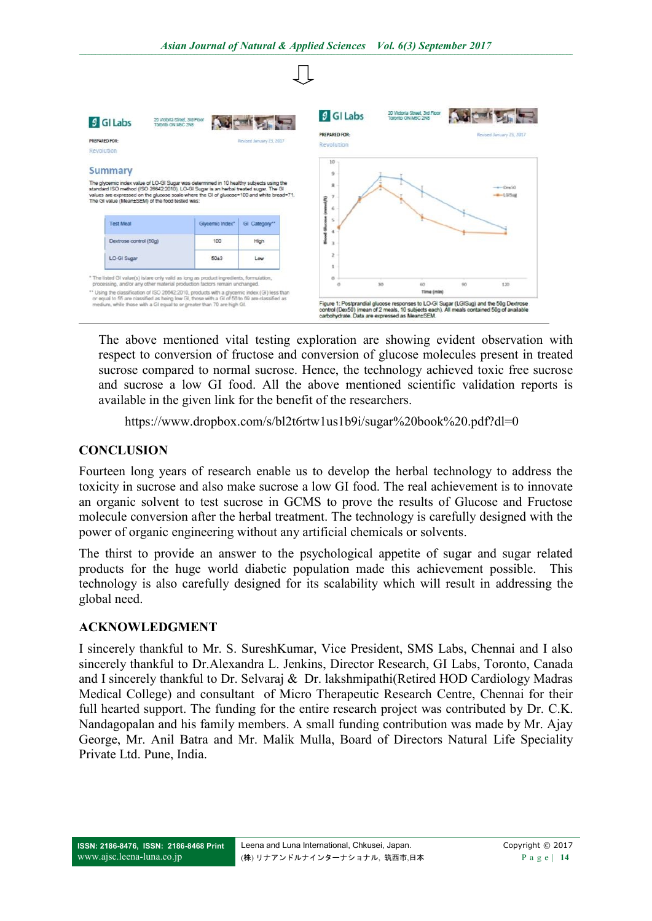

The above mentioned vital testing exploration are showing evident observation with respect to conversion of fructose and conversion of glucose molecules present in treated sucrose compared to normal sucrose. Hence, the technology achieved toxic free sucrose and sucrose a low GI food. All the above mentioned scientific validation reports is available in the given link for the benefit of the researchers.

<https://www.dropbox.com/s/bl2t6rtw1us1b9i/sugar%20book%20.pdf?dl=0>

#### **CONCLUSION**

Fourteen long years of research enable us to develop the herbal technology to address the toxicity in sucrose and also make sucrose a low GI food. The real achievement is to innovate an organic solvent to test sucrose in GCMS to prove the results of Glucose and Fructose molecule conversion after the herbal treatment. The technology is carefully designed with the power of organic engineering without any artificial chemicals or solvents.

The thirst to provide an answer to the psychological appetite of sugar and sugar related products for the huge world diabetic population made this achievement possible. This technology is also carefully designed for its scalability which will result in addressing the global need.

#### **ACKNOWLEDGMENT**

I sincerely thankful to Mr. S. SureshKumar, Vice President, SMS Labs, Chennai and I also sincerely thankful to Dr.Alexandra L. Jenkins, Director Research, GI Labs, Toronto, Canada and I sincerely thankful to Dr. Selvaraj & Dr. lakshmipathi(Retired HOD Cardiology Madras Medical College) and consultant of Micro Therapeutic Research Centre, Chennai for their full hearted support. The funding for the entire research project was contributed by Dr. C.K. Nandagopalan and his family members. A small funding contribution was made by Mr. Ajay George, Mr. Anil Batra and Mr. Malik Mulla, Board of Directors Natural Life Speciality Private Ltd. Pune, India.